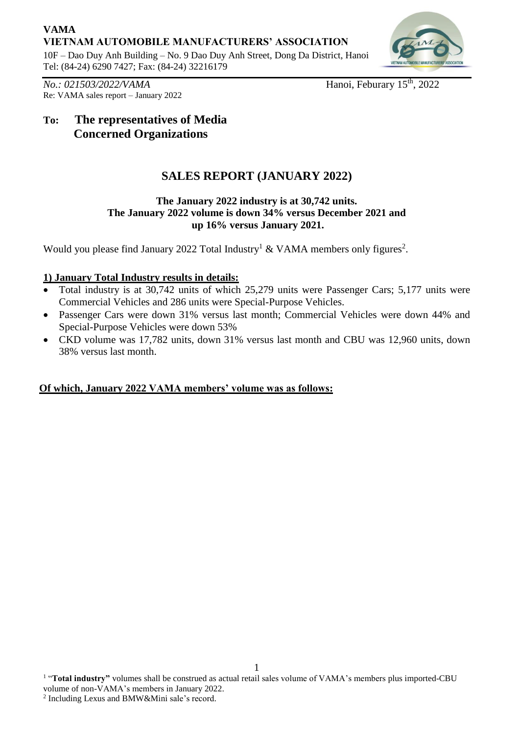## **VAMA VIETNAM AUTOMOBILE MANUFACTURERS' ASSOCIATION**

10F – Dao Duy Anh Building – No. 9 Dao Duy Anh Street, Dong Da District, Hanoi Tel: (84-24) 6290 7427; Fax: (84-24) 32216179



*No.: 021503/2022/VAMA* Hanoi, Feburary 15<sup>th</sup>, 2022 Re: VAMA sales report – January 2022

# **To: The representatives of Media Concerned Organizations**

# **SALES REPORT (JANUARY 2022)**

### **The January 2022 industry is at 30,742 units. The January 2022 volume is down 34% versus December 2021 and up 16% versus January 2021.**

Would you please find January 2022 Total Industry<sup>1</sup> & VAMA members only figures<sup>2</sup>.

## **1) January Total Industry results in details:**

- Total industry is at 30,742 units of which 25,279 units were Passenger Cars; 5,177 units were Commercial Vehicles and 286 units were Special-Purpose Vehicles.
- Passenger Cars were down 31% versus last month; Commercial Vehicles were down 44% and Special-Purpose Vehicles were down 53%
- CKD volume was 17,782 units, down 31% versus last month and CBU was 12,960 units, down 38% versus last month.

## **Of which, January 2022 VAMA members' volume was as follows:**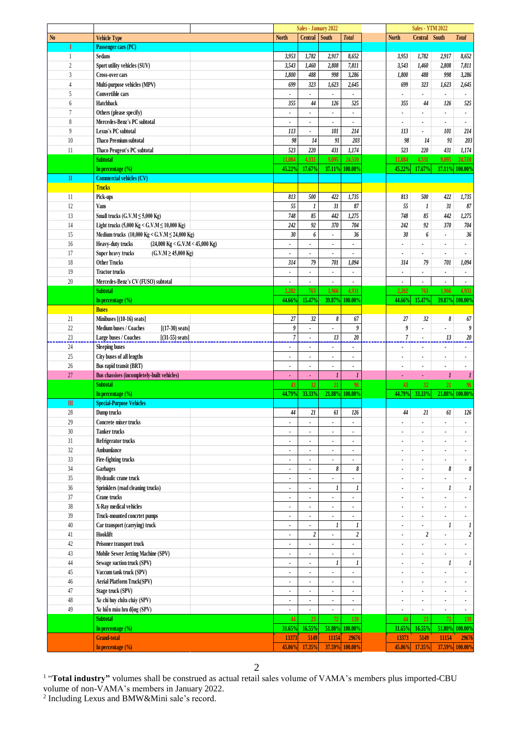|                        |                                                                        |                          | Sales - January 2022     |                  |                          |                          | <b>Sales - YTM 2022</b>  |                  |                          |
|------------------------|------------------------------------------------------------------------|--------------------------|--------------------------|------------------|--------------------------|--------------------------|--------------------------|------------------|--------------------------|
| N <sub>0</sub>         | <b>Vehicle Type</b>                                                    | <b>North</b>             | Central                  | South            | <b>Total</b>             | <b>North</b>             | Central South            |                  | <b>Total</b>             |
| I                      | Passenger cars (PC)                                                    |                          |                          |                  |                          |                          |                          |                  |                          |
| 1                      | <b>Sedans</b>                                                          | 3,953                    | 1,782                    | 2,917            | 8,652                    | 3,953                    | 1,782                    | 2,917            | 8,652                    |
| $\overline{c}$         | Sport utility vehicles (SUV)                                           | 3,543                    | 1,460                    | 2,808            | 7,811                    | 3,543                    | 1,460                    | 2,808            | 7,811                    |
| $\overline{3}$         | <b>Cross-over cars</b>                                                 | 1,800                    | 488                      | 998              | 3,286                    | 1,800                    | 488                      | 998              | 3,286                    |
| $\overline{4}$         |                                                                        | 699                      | 323                      | 1,623            | 2,645                    | 699                      | 323                      | 1,623            |                          |
|                        | Multi-purpose vehicles (MPV)                                           |                          |                          |                  |                          |                          |                          |                  | 2,645                    |
| 5                      | Convertible cars                                                       | $\overline{\phantom{a}}$ |                          | ٠                |                          |                          | $\blacksquare$           | $\blacksquare$   |                          |
| 6                      | Hatchback                                                              | 355                      | 44                       | 126              | 525                      | 355                      | 44                       | 126              | 525                      |
| 7                      | Others (please specify)                                                | $\blacksquare$           |                          | ٠                | ٠                        | $\blacksquare$           | $\bullet$                | $\blacksquare$   |                          |
| 8                      | Mercedes-Benz's PC subtotal                                            | $\overline{\phantom{a}}$ | $\overline{\phantom{a}}$ | ٠                | ä,                       |                          |                          |                  |                          |
| $\overline{9}$         | Lexus's PC subtotal                                                    | 113                      | ٠                        | 101              | 214                      | 113                      | $\blacksquare$           | 101              | 214                      |
| 10                     | <b>Thaco Premium subtotal</b>                                          | 98                       | 14                       | 91               | 203                      | 98                       | 14                       | 91               | 203                      |
| 11                     | Thaco Peugeot's PC subtotal                                            | 523                      | 220                      | 431              | 1,174                    | 523                      | 220                      | 431              | 1,174                    |
|                        | <b>Subtotal</b>                                                        | 11,084                   | 4,331                    | 9,095            | 24,510                   | 11,084                   | 4,331                    | 9,095            | 24,510                   |
|                        |                                                                        | 45.22%                   | 17.67%                   |                  |                          | 45.22%                   | 17.67%                   |                  | 100.00%                  |
|                        | In percentage $(\% )$                                                  |                          |                          |                  | 37.11% 100.00%           |                          |                          | 37.11%           |                          |
| $\rm I\hspace{-.1em}I$ | <b>Commercial vehicles (CV)</b>                                        |                          |                          |                  |                          |                          |                          |                  |                          |
|                        | <b>Trucks</b>                                                          |                          |                          |                  |                          |                          |                          |                  |                          |
| 11                     | Pick-ups                                                               | 813                      | 500                      | 422              | 1,735                    | 813                      | 500                      | 422              | 1,735                    |
| 12                     | Vans                                                                   | 55                       | $\boldsymbol{l}$         | 31               | 87                       | 55                       | $\boldsymbol{l}$         | 31               | 87                       |
| 13                     | Small trucks $(G.V.M \le 5,000$ Kg)                                    | 748                      | 85                       | 442              | 1,275                    | 748                      | 85                       | 442              | 1,275                    |
| 14                     | Light trucks (5,000 Kg < G.V.M $\leq$ 10,000 Kg)                       | 242                      | 92                       | 370              | 704                      | 242                      | 92                       | 370              | 704                      |
| 15                     | Medium trucks (10,000 Kg < G.V.M $\leq$ 24,000 Kg)                     | 30                       | 6                        | Ĭ.               | 36                       | 30                       | 6                        | $\blacksquare$   | 36                       |
| 16                     | Heavy-duty trucks<br>$(24,000 \text{ Kg} < G.V.M < 45,000 \text{ Kg})$ | ٠                        | $\overline{\phantom{a}}$ | $\blacksquare$   | ٠                        | $\bullet$                | $\overline{\phantom{a}}$ | $\blacksquare$   | $\overline{\phantom{a}}$ |
|                        |                                                                        |                          |                          |                  |                          |                          |                          |                  |                          |
| 17                     | $(G.V.M \ge 45,000$ Kg)<br>Super heavy trucks                          |                          |                          |                  |                          |                          |                          |                  |                          |
| 18                     | <b>Other Trucks</b>                                                    | 314                      | 79                       | 701              | 1,094                    | 314                      | 79                       | 701              | 1,094                    |
| 19                     | <b>Tractor trucks</b>                                                  | ۰                        | $\blacksquare$           |                  | $\blacksquare$           | $\blacksquare$           | $\blacksquare$           | $\blacksquare$   | $\bullet$                |
| 20                     | Mercedes-Benz's CV (FUSO) subtotal                                     |                          |                          | ٠                | ä,                       |                          |                          |                  |                          |
|                        | <b>Subtotal</b>                                                        | 2,202                    | 763                      | 1,966            | 4.931                    | 2,202                    | 763                      | 1.966            | 4.931                    |
|                        | In percentage (%)                                                      | 44.66%                   | 15.47%                   | 39.87%           | 100.00%                  | 44.66%                   | 15.47%                   | 39.87%           | 100.00%                  |
|                        | <b>Buses</b>                                                           |                          |                          |                  |                          |                          |                          |                  |                          |
| 21                     | Minibuses [(10-16) seats]                                              | 27                       | 32                       | 8                | 67                       | 27                       | 32                       | 8                | 67                       |
| $22\,$                 | Medium buses / Coaches<br>$[(17-30) \text{ seats}]$                    | 9                        | ÷.                       | ÷.               | 9                        | 9                        | $\mathbf{r}$             | ä,               | 9                        |
| 23                     | Large buses / Coaches<br>$[(31-55) \text{ seats}]$                     | $\sqrt{7}$               | ٠                        | 13               | 20                       | $\overline{7}$           |                          | 13               | 20                       |
| 24                     |                                                                        |                          |                          |                  |                          |                          |                          |                  |                          |
|                        | <b>Sleeping buses</b>                                                  |                          |                          |                  |                          |                          |                          |                  |                          |
| 25                     | City buses of all lengths                                              | $\blacksquare$           | ٠                        | ٠                | ٠                        | $\blacksquare$           | $\overline{\phantom{a}}$ | ٠                | ٠                        |
| 26                     | Bus rapid transit (BRT)                                                | ٠                        | $\blacksquare$           |                  | $\blacksquare$           |                          |                          |                  |                          |
| 27                     | Bus chassises (incompletely-built vehicles)                            | ä,                       | $\tilde{\phantom{a}}$    | $\boldsymbol{l}$ | $\mathbf{I}$             | ٠                        | $\blacksquare$           | $\mathbf{I}$     | -1                       |
|                        | <b>Subtotal</b>                                                        | 43                       | 32                       | 21               | 96                       | 43                       | 32                       | 21               | 96                       |
|                        | In percentage $(\% )$                                                  | 44.79%                   | 33.33%                   |                  | 21.88% 100.00%           | 44.79%                   | 33.33%                   |                  | 21.88% 100.00%           |
| $\mathbf{m}$           | <b>Special-Purpose Vehicles</b>                                        |                          |                          |                  |                          |                          |                          |                  |                          |
| 28                     | Dump trucks                                                            | 44                       | 21                       | 61               | 126                      | 44                       | 21                       | 61               | 126                      |
| 29                     | Concrete mixer trucks                                                  | $\blacksquare$           | ٠                        | $\blacksquare$   | $\blacksquare$           | $\blacksquare$           | $\blacksquare$           | ٠                | ٠                        |
| $30\,$                 | <b>Tanker trucks</b>                                                   | $\blacksquare$           |                          |                  | $\overline{\phantom{a}}$ | $\bullet$                | $\bullet$                | $\blacksquare$   | $\bullet$                |
| 31                     | Refrigerator trucks                                                    | ٠                        | $\overline{\phantom{a}}$ | ٠                | ÷                        | $\overline{\phantom{a}}$ | $\blacksquare$           | $\blacksquare$   | $\blacksquare$           |
| $32\,$                 |                                                                        |                          |                          |                  |                          |                          |                          |                  |                          |
|                        | Ambumlance                                                             | $\blacksquare$           | $\blacksquare$           | ä,               | ÷                        | $\blacksquare$           | $\blacksquare$           | $\blacksquare$   | $\blacksquare$           |
| $33\,$                 | Fire-fighting trucks                                                   | $\blacksquare$           | $\blacksquare$           | $\blacksquare$   | ä,                       | $\blacksquare$           | $\blacksquare$           | $\blacksquare$   |                          |
| 34                     | Garbages                                                               | ٠                        | ٠                        | 8                | 8                        | $\blacksquare$           | $\mathbf{r}$             | 8                | 8                        |
| 35                     | Hydraulic crane truck                                                  | $\blacksquare$           | ٠                        |                  |                          |                          | $\blacksquare$           |                  |                          |
| $36\,$                 | Sprinklers (road cleaning trucks)                                      | $\blacksquare$           | ٠                        | 1                | 1                        | $\blacksquare$           | $\blacksquare$           | 1                | 1                        |
| $37\,$                 | Crane trucks                                                           | $\blacksquare$           | $\overline{\phantom{a}}$ | ٠                | ٠                        | $\blacksquare$           | $\blacksquare$           |                  |                          |
| $38\,$                 | X-Ray medical vehicles                                                 | $\blacksquare$           | $\blacksquare$           |                  | $\blacksquare$           | $\overline{\phantom{a}}$ | $\blacksquare$           | $\blacksquare$   | ٠                        |
| 39                     | Truck-mounted concrtet pumps                                           | $\blacksquare$           | $\blacksquare$           | ٠                | ٠                        | $\blacksquare$           | $\blacksquare$           | ٠                |                          |
| $40\,$                 | Car transport (carrying) truck                                         | ٠                        |                          | $\boldsymbol{l}$ | 1                        | $\overline{\phantom{a}}$ | $\mathbf{r}$             | $\boldsymbol{l}$ | 1                        |
| 41                     | Hooklift                                                               | $\blacksquare$           | $\overline{\mathbf{c}}$  | ٠                | $\overline{\mathbf{c}}$  | $\blacksquare$           | $\boldsymbol{2}$         | $\blacksquare$   | $\overline{a}$           |
|                        |                                                                        |                          |                          |                  |                          |                          |                          |                  |                          |
| $42\,$                 | Prisoner transport truck                                               | $\blacksquare$           | $\overline{\phantom{a}}$ |                  | ٠                        | $\blacksquare$           | $\overline{a}$           | $\blacksquare$   |                          |
| $43\,$                 | Mobile Sewer Jetting Machine (SPV)                                     | $\blacksquare$           | $\overline{\phantom{a}}$ | $\blacksquare$   | ٠                        | $\blacksquare$           | $\blacksquare$           | ٠                | ٠                        |
| $44\,$                 | Sewage suction truck (SPV)                                             | ٠                        |                          | $\boldsymbol{l}$ | 1                        | $\blacksquare$           | $\blacksquare$           | 1                | 1                        |
| $45\,$                 | Vaccum tank truck (SPV)                                                | ä,                       | ä,                       | ä,               | ä,                       | $\overline{a}$           | $\mathbf{r}$             | ä,               |                          |
| 46                     | Aerial Platform Truck(SPV)                                             | $\bullet$                | $\blacksquare$           | $\blacksquare$   | $\blacksquare$           | $\blacksquare$           | $\bullet$                | $\blacksquare$   | $\bullet$                |
| 47                     | Stage truck (SPV)                                                      | $\blacksquare$           | ٠                        | ٠                | ٠                        | $\blacksquare$           | $\blacksquare$           | $\blacksquare$   | $\blacksquare$           |
| $48\,$                 | Xe chỉ huy chữa cháy (SPV)                                             | $\bullet$                | $\blacksquare$           | ٠                | $\blacksquare$           | $\blacksquare$           | $\blacksquare$           | $\blacksquare$   | $\bullet$                |
| 49                     | Xe hiến máu lưu động (SPV)                                             | ٠                        |                          |                  | ÷                        |                          | ٠                        |                  |                          |
|                        | <b>Subtotal</b>                                                        | 44                       | 23 <sup>°</sup>          | 72               | 139                      | 44                       | 23                       | 72               | 139                      |
|                        | In percentage $(\% )$                                                  | 31.65%                   | 16.55%                   | 51.80%           | 100.00%                  | 31.65%                   | 16.55%                   | 51.80%           | 100.00%                  |
|                        | <b>Grand-total</b>                                                     | 13373                    | 5149                     | 11154            | 29676                    | 13373                    | 5149                     | 11154            |                          |
|                        |                                                                        |                          |                          |                  |                          |                          |                          |                  | 29676                    |
|                        | In percentage $(\%)$                                                   | 45.06%                   | 17.35%                   | 37.59%           | 100.00%                  | 45.06%                   | 17.35%                   |                  | 37.59% 100.00%           |

<sup>1</sup> "Total industry" volumes shall be construed as actual retail sales volume of VAMA's members plus imported-CBU

volume of non-VAMA's members in January 2022.<br><sup>2</sup> Including Lexus and BMW&Mini sale's record.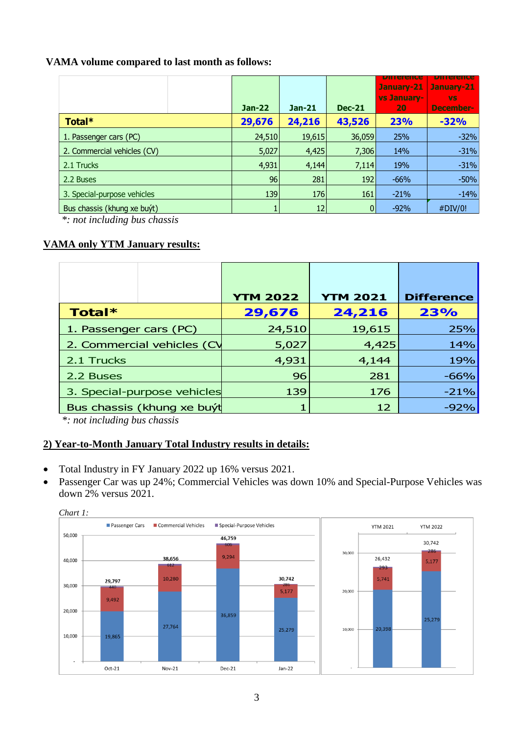### **VAMA volume compared to last month as follows:**

|                             | <b>Jan-22</b> | <b>Jan-21</b> | <b>Dec-21</b> | pinerence<br>January-21<br>vs January-<br>20 | pinerence<br>January-21<br><b>VS</b><br>December- |
|-----------------------------|---------------|---------------|---------------|----------------------------------------------|---------------------------------------------------|
| Total*                      | 29,676        | 24,216        | 43,526        | 23%                                          | $-32%$                                            |
| 1. Passenger cars (PC)      | 24,510        | 19,615        | 36,059        | 25%                                          | $-32%$                                            |
| 2. Commercial vehicles (CV) | 5,027         | 4,425         | 7,306         | 14%                                          | $-31%$                                            |
| 2.1 Trucks                  | 4,931         | 4,144         | 7,114         | 19%                                          | $-31%$                                            |
| 2.2 Buses                   | 96            | 281           | 192           | $-66%$                                       | $-50%$                                            |
| 3. Special-purpose vehicles | 139           | 176           | 161           | $-21%$                                       | $-14%$                                            |
| Bus chassis (khung xe buyt) |               | 12            |               | $-92%$                                       | #DIV/0!                                           |

*\*: not including bus chassis*

### **VAMA only YTM January results:**

|                             | <b>YTM 2022</b> | <b>YTM 2021</b> | <b>Difference</b> |
|-----------------------------|-----------------|-----------------|-------------------|
| Total*                      | 29,676          | 24,216          | 23%               |
| 1. Passenger cars (PC)      | 24,510          | 19,615          | 25%               |
| 2. Commercial vehicles (CV  | 5,027           | 4,425           | 14%               |
| 2.1 Trucks                  | 4,931           | 4,144           | 19%               |
| 2.2 Buses                   | 96              | 281             | $-66%$            |
| 3. Special-purpose vehicles | 139             | 176             | $-21%$            |
| Bus chassis (khung xe buýt  |                 | 12              | $-92%$            |

*\*: not including bus chassis*

### **2) Year-to-Month January Total Industry results in details:**

- Total Industry in FY January 2022 up 16% versus 2021.
- Passenger Car was up 24%; Commercial Vehicles was down 10% and Special-Purpose Vehicles was down 2% versus 2021.



*Chart 1:*